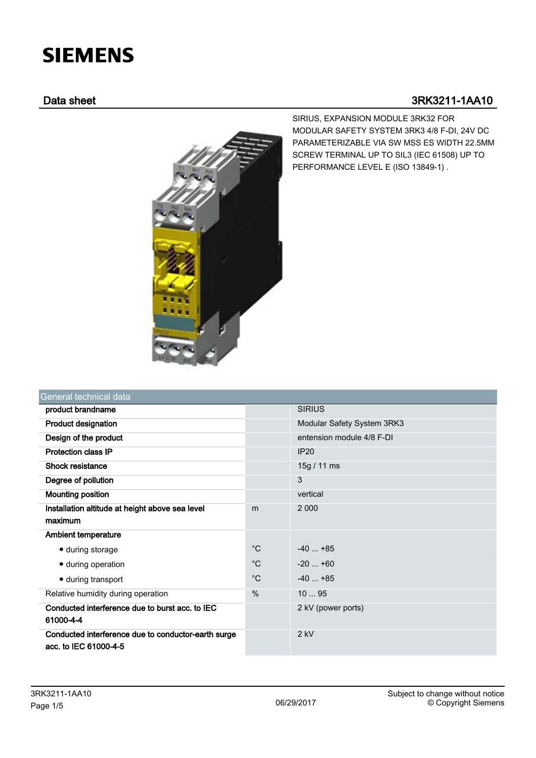# **SIEMENS**

## Data sheet 3RK3211-1AA10



SIRIUS, EXPANSION MODULE 3RK32 FOR MODULAR SAFETY SYSTEM 3RK3 4/8 F-DI, 24V DC PARAMETERIZABLE VIA SW MSS ES WIDTH 22.5MM SCREW TERMINAL UP TO SIL3 (IEC 61508) UP TO PERFORMANCE LEVEL E (ISO 13849-1) .

| General technical data                                                       |               |                            |
|------------------------------------------------------------------------------|---------------|----------------------------|
| product brandname                                                            |               | <b>SIRIUS</b>              |
| <b>Product designation</b>                                                   |               | Modular Safety System 3RK3 |
| Design of the product                                                        |               | entension module 4/8 F-DI  |
| <b>Protection class IP</b>                                                   |               | IP20                       |
| Shock resistance                                                             |               | 15g / 11 ms                |
| Degree of pollution                                                          |               | 3                          |
| <b>Mounting position</b>                                                     |               | vertical                   |
| Installation altitude at height above sea level                              | m             | 2 0 0 0                    |
| maximum                                                                      |               |                            |
| <b>Ambient temperature</b>                                                   |               |                            |
| • during storage                                                             | $^{\circ}C$   | $-40+85$                   |
| · during operation                                                           | $^{\circ}C$   | $-20+60$                   |
| • during transport                                                           | $^{\circ}C$   | $-40+85$                   |
| Relative humidity during operation                                           | $\frac{0}{0}$ | 1095                       |
| Conducted interference due to burst acc. to IEC                              |               | 2 kV (power ports)         |
| 61000-4-4                                                                    |               |                            |
| Conducted interference due to conductor-earth surge<br>acc. to IEC 61000-4-5 |               | $2$ kV                     |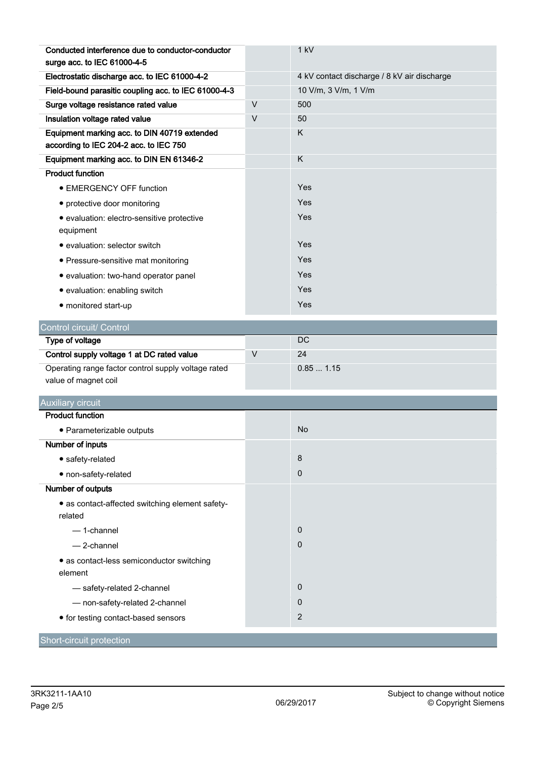| Conducted interference due to conductor-conductor                                      |        | 1 kV                                        |
|----------------------------------------------------------------------------------------|--------|---------------------------------------------|
| surge acc. to IEC 61000-4-5                                                            |        |                                             |
| Electrostatic discharge acc. to IEC 61000-4-2                                          |        | 4 kV contact discharge / 8 kV air discharge |
| Field-bound parasitic coupling acc. to IEC 61000-4-3                                   |        | 10 V/m, 3 V/m, 1 V/m                        |
| Surge voltage resistance rated value                                                   | V      | 500                                         |
| Insulation voltage rated value                                                         | $\vee$ | 50                                          |
| Equipment marking acc. to DIN 40719 extended<br>according to IEC 204-2 acc. to IEC 750 |        | Κ                                           |
| Equipment marking acc. to DIN EN 61346-2                                               |        | K                                           |
| <b>Product function</b>                                                                |        |                                             |
| • EMERGENCY OFF function                                                               |        | Yes                                         |
| • protective door monitoring                                                           |        | Yes                                         |
| · evaluation: electro-sensitive protective<br>equipment                                |        | Yes                                         |
| • evaluation: selector switch                                                          |        | Yes                                         |
| • Pressure-sensitive mat monitoring                                                    |        | Yes                                         |
| · evaluation: two-hand operator panel                                                  |        | Yes                                         |
| · evaluation: enabling switch                                                          |        | Yes                                         |
| · monitored start-up                                                                   |        | Yes                                         |
|                                                                                        |        |                                             |
| Control circuit/ Control                                                               |        |                                             |
|                                                                                        |        |                                             |
| Type of voltage                                                                        |        | DC                                          |
| Control supply voltage 1 at DC rated value                                             | $\vee$ | 24                                          |
| Operating range factor control supply voltage rated<br>value of magnet coil            |        | 0.851.15                                    |
| <b>Auxiliary circuit</b>                                                               |        |                                             |
| <b>Product function</b>                                                                |        |                                             |
| • Parameterizable outputs                                                              |        | No                                          |
| <b>Number of inputs</b>                                                                |        |                                             |
| • safety-related                                                                       |        | 8                                           |
| · non-safety-related                                                                   |        | 0                                           |
| Number of outputs                                                                      |        |                                             |
| • as contact-affected switching element safety-<br>related                             |        |                                             |
| - 1-channel                                                                            |        | $\mathbf 0$                                 |
| - 2-channel                                                                            |        | 0                                           |
| • as contact-less semiconductor switching<br>element                                   |        |                                             |
| - safety-related 2-channel                                                             |        | $\mathbf 0$                                 |
| - non-safety-related 2-channel                                                         |        | 0                                           |
| • for testing contact-based sensors                                                    |        | 2                                           |

**Short-circuit protection**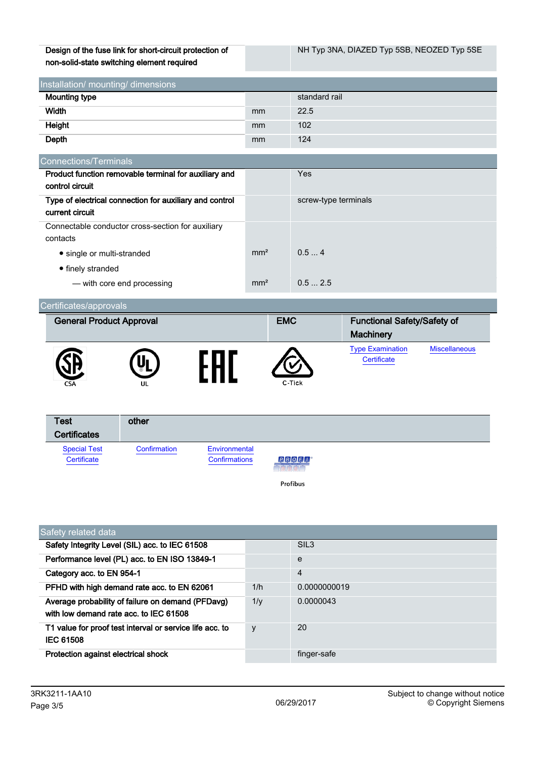Design of the fuse link for short-circuit protection of non-solid-state switching element required

| Installation/ mounting/ dimensions |    |               |  |
|------------------------------------|----|---------------|--|
| <b>Mounting type</b>               |    | standard rail |  |
| Width                              | mm | 22.5          |  |
| Height                             | mm | 102           |  |
| Depth                              | mm | 124           |  |

| Connections/Terminals                                   |                 |                      |
|---------------------------------------------------------|-----------------|----------------------|
| Product function removable terminal for auxiliary and   |                 | <b>Yes</b>           |
| control circuit                                         |                 |                      |
| Type of electrical connection for auxiliary and control |                 | screw-type terminals |
| current circuit                                         |                 |                      |
| Connectable conductor cross-section for auxiliary       |                 |                      |
| contacts                                                |                 |                      |
| • single or multi-stranded                              | mm <sup>2</sup> | 0.54                 |
| • finely stranded                                       |                 |                      |
| - with core end processing                              | mm <sup>2</sup> | 0.52.5               |

| Certificates/approvals          |    |            |                                                        |                      |
|---------------------------------|----|------------|--------------------------------------------------------|----------------------|
| <b>General Product Approval</b> |    | <b>EMC</b> | <b>Functional Safety/Safety of</b><br><b>Machinery</b> |                      |
| <b>CSA</b>                      | UL | C-Tick     | <b>Type Examination</b><br>Certificate                 | <b>Miscellaneous</b> |

| <b>Test</b><br><b>Certificates</b> | other        |                                       |                                             |
|------------------------------------|--------------|---------------------------------------|---------------------------------------------|
| <b>Special Test</b><br>Certificate | Confirmation | Environmental<br><b>Confirmations</b> | PROFI<br><b><i><u>Production of</u></i></b> |
|                                    |              |                                       | Profibus                                    |

| Safety related data                                                                         |         |                  |  |  |
|---------------------------------------------------------------------------------------------|---------|------------------|--|--|
| Safety Integrity Level (SIL) acc. to IEC 61508                                              |         | SIL <sub>3</sub> |  |  |
| Performance level (PL) acc. to EN ISO 13849-1                                               |         | e                |  |  |
| Category acc. to EN 954-1                                                                   |         | $\overline{4}$   |  |  |
| PFHD with high demand rate acc. to EN 62061                                                 | 1/h     | 0.0000000019     |  |  |
| Average probability of failure on demand (PFDavg)<br>with low demand rate acc. to IEC 61508 | $1/\nu$ | 0.0000043        |  |  |
| T1 value for proof test interval or service life acc. to<br><b>IEC 61508</b>                | y       | 20               |  |  |
| Protection against electrical shock                                                         |         | finger-safe      |  |  |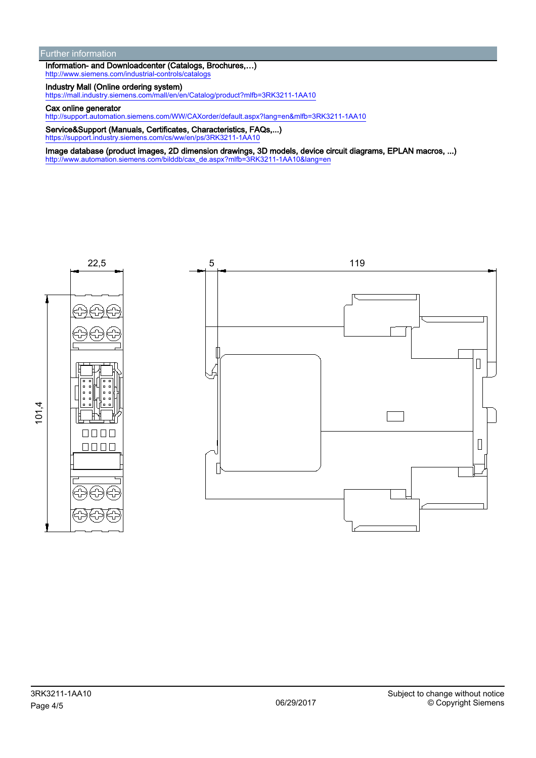#### Further information

Information- and Downloadcenter (Catalogs, Brochures,…) <http://www.siemens.com/industrial-controls/catalogs>

### Industry Mall (Online ordering system)

<https://mall.industry.siemens.com/mall/en/en/Catalog/product?mlfb=3RK3211-1AA10>

#### Cax online generator

<http://support.automation.siemens.com/WW/CAXorder/default.aspx?lang=en&mlfb=3RK3211-1AA10>

Service&Support (Manuals, Certificates, Characteristics, FAQs,...) <https://support.industry.siemens.com/cs/ww/en/ps/3RK3211-1AA10>

Image database (product images, 2D dimension drawings, 3D models, device circuit diagrams, EPLAN macros, ...) [http://www.automation.siemens.com/bilddb/cax\\_de.aspx?mlfb=3RK3211-1AA10&lang=en](http://www.automation.siemens.com/bilddb/cax_de.aspx?mlfb=3RK3211-1AA10&lang=en)